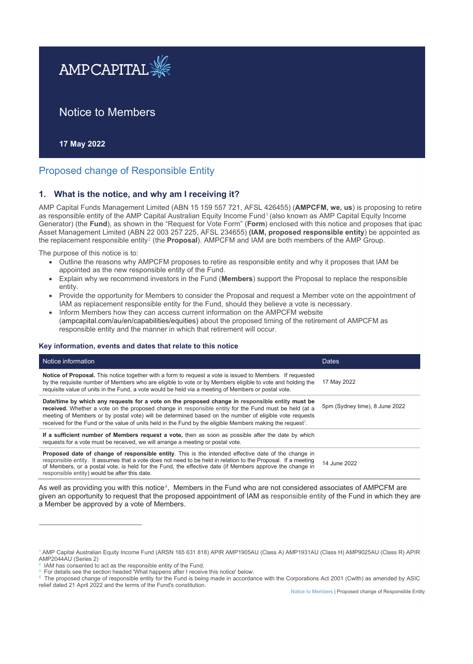

# Notice to Members

**17 May 2022**

# Proposed change of Responsible Entity

### **1. What is the notice, and why am I receiving it?**

AMP Capital Funds Management Limited (ABN 15 159 557 721, AFSL 426455) (**AMPCFM, we, us**) is proposing to retire as responsible entity of the AMP Capital Australian Equity Income Fund<sup>1</sup> (also known as AMP Capital Equity Income Generator) (the **Fund**), as shown in the "Request for Vote Form" (**Form**) enclosed with this notice and proposes that ipac Asset Management Limited (ABN 22 003 257 225, AFSL 234655) **(IAM, proposed responsible entity**) be appointed as the replacement responsible entity2 (the **Proposal**). AMPCFM and IAM are both members of the AMP Group.

The purpose of this notice is to:

- Outline the reasons why AMPCFM proposes to retire as responsible entity and why it proposes that IAM be appointed as the new responsible entity of the Fund.
- x Explain why we recommend investors in the Fund (**Members**) support the Proposal to replace the responsible entity.
- Provide the opportunity for Members to consider the Proposal and request a Member vote on the appointment of IAM as replacement responsible entity for the Fund, should they believe a vote is necessary.
- Inform Members how they can access current information on the AMPCFM website (ampcapital.com/au/en/capabilities/equities) about the proposed timing of the retirement of AMPCFM as responsible entity and the manner in which that retirement will occur.

#### **Key information, events and dates that relate to this notice**

| Notice information                                                                                                                                                                                                                                                                                                                                                                                                                           | <b>Dates</b>                   |
|----------------------------------------------------------------------------------------------------------------------------------------------------------------------------------------------------------------------------------------------------------------------------------------------------------------------------------------------------------------------------------------------------------------------------------------------|--------------------------------|
| <b>Notice of Proposal.</b> This notice together with a form to request a vote is issued to Members. If requested<br>by the requisite number of Members who are eligible to vote or by Members eligible to vote and holding the<br>requisite value of units in the Fund, a vote would be held via a meeting of Members or postal vote.                                                                                                        | 17 May 2022                    |
| Date/time by which any requests for a vote on the proposed change in responsible entity must be<br>received. Whether a vote on the proposed change in responsible entity for the Fund must be held (at a<br>meeting of Members or by postal vote) will be determined based on the number of eligible vote requests<br>received for the Fund or the value of units held in the Fund by the eligible Members making the request <sup>3</sup> . | 5pm (Sydney time), 8 June 2022 |
| If a sufficient number of Members request a vote, then as soon as possible after the date by which<br>requests for a vote must be received, we will arrange a meeting or postal vote.                                                                                                                                                                                                                                                        |                                |
| <b>Proposed date of change of responsible entity</b> . This is the intended effective date of the change in<br>responsible entity. It assumes that a vote does not need to be held in relation to the Proposal. If a meeting<br>of Members, or a postal vote, is held for the Fund, the effective date (if Members approve the change in<br>responsible entity) would be after this date.                                                    | 14 June 2022                   |

As well as providing you with this notice<sup>4</sup>, Members in the Fund who are not considered associates of AMPCFM are given an opportunity to request that the proposed appointment of IAM as responsible entity of the Fund in which they are a Member be approved by a vote of Members.

Notice to Members | Proposed change of Responsible Entity

<sup>1</sup> AMP Capital Australian Equity Income Fund (ARSN 165 631 818) APIR AMP1905AU (Class A) AMP1931AU (Class H) AMP9025AU (Class R) APIR AMP2044AU (Series 2)

<sup>2</sup> IAM has consented to act as the responsible entity of the Fund.

For details see the section headed 'What happens after I receive this notice' below.

<sup>4</sup> The proposed change of responsible entity for the Fund is being made in accordance with the Corporations Act 2001 (Cwlth) as amended by ASIC relief dated 21 April 2022 and the terms of the Fund's constitution.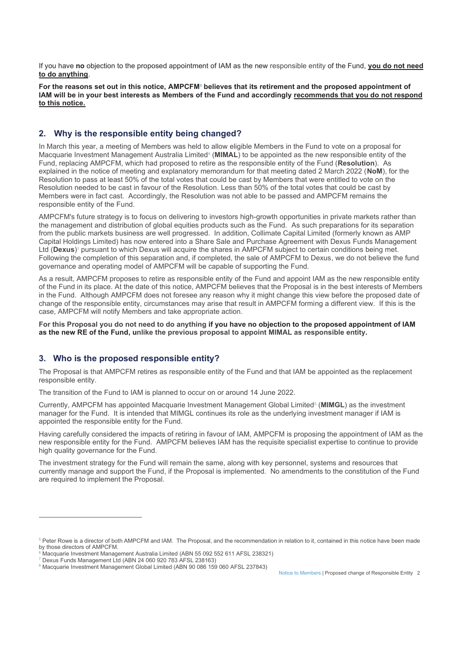If you have **no** objection to the proposed appointment of IAM as the new responsible entity of the Fund, **you do not need to do anything**.

For the reasons set out in this notice, AMPCFM<sup>s</sup> believes that its retirement and the proposed appointment of **IAM will be in your best interests as Members of the Fund and accordingly recommends that you do not respond to this notice.** 

### **2. Why is the responsible entity being changed?**

In March this year, a meeting of Members was held to allow eligible Members in the Fund to vote on a proposal for Macquarie Investment Management Australia Limited<sup>6</sup> (**MIMAL**) to be appointed as the new responsible entity of the Fund, replacing AMPCFM, which had proposed to retire as the responsible entity of the Fund (**Resolution**). As explained in the notice of meeting and explanatory memorandum for that meeting dated 2 March 2022 (**NoM**), for the Resolution to pass at least 50% of the total votes that could be cast by Members that were entitled to vote on the Resolution needed to be cast in favour of the Resolution. Less than 50% of the total votes that could be cast by Members were in fact cast. Accordingly, the Resolution was not able to be passed and AMPCFM remains the responsible entity of the Fund.

AMPCFM's future strategy is to focus on delivering to investors high-growth opportunities in private markets rather than the management and distribution of global equities products such as the Fund. As such preparations for its separation from the public markets business are well progressed. In addition, Collimate Capital Limited (formerly known as AMP Capital Holdings Limited) has now entered into a Share Sale and Purchase Agreement with Dexus Funds Management Ltd (**Dexus**)<sup>7</sup> pursuant to which Dexus will acquire the shares in AMPCFM subject to certain conditions being met. Following the completion of this separation and, if completed, the sale of AMPCFM to Dexus, we do not believe the fund governance and operating model of AMPCFM will be capable of supporting the Fund.

As a result, AMPCFM proposes to retire as responsible entity of the Fund and appoint IAM as the new responsible entity of the Fund in its place. At the date of this notice, AMPCFM believes that the Proposal is in the best interests of Members in the Fund. Although AMPCFM does not foresee any reason why it might change this view before the proposed date of change of the responsible entity, circumstances may arise that result in AMPCFM forming a different view. If this is the case, AMPCFM will notify Members and take appropriate action.

**For this Proposal you do not need to do anything if you have no objection to the proposed appointment of IAM as the new RE of the Fund, unlike the previous proposal to appoint MIMAL as responsible entity.**

### **3. Who is the proposed responsible entity?**

The Proposal is that AMPCFM retires as responsible entity of the Fund and that IAM be appointed as the replacement responsible entity.

The transition of the Fund to IAM is planned to occur on or around 14 June 2022.

Currently, AMPCFM has appointed Macquarie Investment Management Global Limited<sup>8</sup> (MIMGL) as the investment manager for the Fund. It is intended that MIMGL continues its role as the underlying investment manager if IAM is appointed the responsible entity for the Fund.

Having carefully considered the impacts of retiring in favour of IAM, AMPCFM is proposing the appointment of IAM as the new responsible entity for the Fund. AMPCFM believes IAM has the requisite specialist expertise to continue to provide high quality governance for the Fund.

The investment strategy for the Fund will remain the same, along with key personnel, systems and resources that currently manage and support the Fund, if the Proposal is implemented. No amendments to the constitution of the Fund are required to implement the Proposal.

Notice to Members | Proposed change of Responsible Entity 2

 $5$  Peter Rowe is a director of both AMPCFM and IAM. The Proposal, and the recommendation in relation to it, contained in this notice have been made by those directors of AMPCFM.

<sup>6</sup>  $^{\rm 6}$  Macquarie Investment Management Australia Limited (ABN 55 092 552 611 AFSL 238321)<br><sup>7</sup> Dexus Funds Management Ltd (ABN 24 060 920 783 AFSL 238163)

<sup>&</sup>lt;sup>7</sup> Dexus Funds Management Ltd (ABN 24 060 920 783 AFSL 238163)<br><sup>8</sup> Macquarie Investment Management Global Limited (ABN 90 086 159 060 AFSL 237843)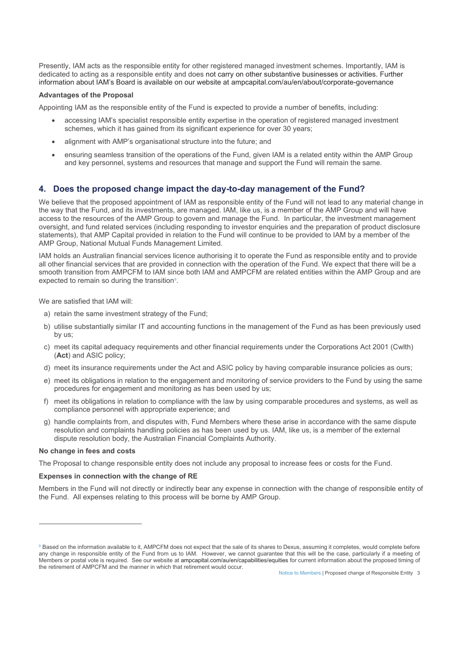Presently, IAM acts as the responsible entity for other registered managed investment schemes. Importantly, IAM is dedicated to acting as a responsible entity and does not carry on other substantive businesses or activities. Further information about IAM's Board is available on our website at ampcapital.com/au/en/about/corporate-governance

#### **Advantages of the Proposal**

Appointing IAM as the responsible entity of the Fund is expected to provide a number of benefits, including:

- accessing IAM's specialist responsible entity expertise in the operation of registered managed investment schemes, which it has gained from its significant experience for over 30 years;
- alignment with AMP's organisational structure into the future; and
- ensuring seamless transition of the operations of the Fund, given IAM is a related entity within the AMP Group and key personnel, systems and resources that manage and support the Fund will remain the same.

### **4. Does the proposed change impact the day-to-day management of the Fund?**

We believe that the proposed appointment of IAM as responsible entity of the Fund will not lead to any material change in the way that the Fund, and its investments, are managed. IAM, like us, is a member of the AMP Group and will have access to the resources of the AMP Group to govern and manage the Fund. In particular, the investment management oversight, and fund related services (including responding to investor enquiries and the preparation of product disclosure statements), that AMP Capital provided in relation to the Fund will continue to be provided to IAM by a member of the AMP Group, National Mutual Funds Management Limited.

IAM holds an Australian financial services licence authorising it to operate the Fund as responsible entity and to provide all other financial services that are provided in connection with the operation of the Fund. We expect that there will be a smooth transition from AMPCFM to IAM since both IAM and AMPCFM are related entities within the AMP Group and are expected to remain so during the transition<sup>9</sup>.

We are satisfied that IAM will:

- a) retain the same investment strategy of the Fund;
- b) utilise substantially similar IT and accounting functions in the management of the Fund as has been previously used by us;
- c) meet its capital adequacy requirements and other financial requirements under the Corporations Act 2001 (Cwlth) (**Act**) and ASIC policy;
- d) meet its insurance requirements under the Act and ASIC policy by having comparable insurance policies as ours;
- e) meet its obligations in relation to the engagement and monitoring of service providers to the Fund by using the same procedures for engagement and monitoring as has been used by us;
- f) meet its obligations in relation to compliance with the law by using comparable procedures and systems, as well as compliance personnel with appropriate experience; and
- g) handle complaints from, and disputes with, Fund Members where these arise in accordance with the same dispute resolution and complaints handling policies as has been used by us. IAM, like us, is a member of the external dispute resolution body, the Australian Financial Complaints Authority.

#### **No change in fees and costs**

The Proposal to change responsible entity does not include any proposal to increase fees or costs for the Fund.

#### **Expenses in connection with the change of RE**

Members in the Fund will not directly or indirectly bear any expense in connection with the change of responsible entity of the Fund. All expenses relating to this process will be borne by AMP Group.

 $9$  Based on the information available to it, AMPCFM does not expect that the sale of its shares to Dexus, assuming it completes, would complete before any change in responsible entity of the Fund from us to IAM. However, we cannot guarantee that this will be the case, particularly if a meeting of Members or postal vote is required. See our website at ampcapital.com/au/en/capabilities/equities for current information about the proposed timing of the retirement of AMPCFM and the manner in which that retirement would occur.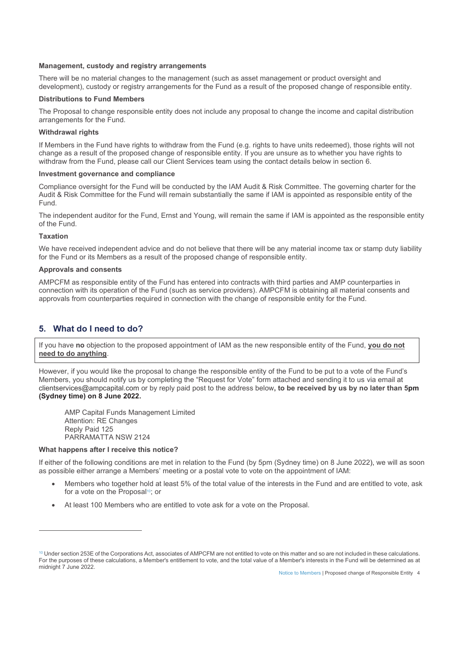#### **Management, custody and registry arrangements**

There will be no material changes to the management (such as asset management or product oversight and development), custody or registry arrangements for the Fund as a result of the proposed change of responsible entity.

#### **Distributions to Fund Members**

The Proposal to change responsible entity does not include any proposal to change the income and capital distribution arrangements for the Fund.

#### **Withdrawal rights**

If Members in the Fund have rights to withdraw from the Fund (e.g. rights to have units redeemed), those rights will not change as a result of the proposed change of responsible entity. If you are unsure as to whether you have rights to withdraw from the Fund, please call our Client Services team using the contact details below in section 6.

#### **Investment governance and compliance**

Compliance oversight for the Fund will be conducted by the IAM Audit & Risk Committee. The governing charter for the Audit & Risk Committee for the Fund will remain substantially the same if IAM is appointed as responsible entity of the Fund.

The independent auditor for the Fund, Ernst and Young, will remain the same if IAM is appointed as the responsible entity of the Fund.

#### **Taxation**

We have received independent advice and do not believe that there will be any material income tax or stamp duty liability for the Fund or its Members as a result of the proposed change of responsible entity.

#### **Approvals and consents**

AMPCFM as responsible entity of the Fund has entered into contracts with third parties and AMP counterparties in connection with its operation of the Fund (such as service providers). AMPCFM is obtaining all material consents and approvals from counterparties required in connection with the change of responsible entity for the Fund.

### **5. What do I need to do?**

If you have **no** objection to the proposed appointment of IAM as the new responsible entity of the Fund, **you do not need to do anything**.

However, if you would like the proposal to change the responsible entity of the Fund to be put to a vote of the Fund's Members, you should notify us by completing the "Request for Vote" form attached and sending it to us via email at clientservices@ampcapital.com or by reply paid post to the address below**, to be received by us by no later than 5pm (Sydney time) on 8 June 2022.** 

 AMP Capital Funds Management Limited Attention: RE Changes Reply Paid 125 PARRAMATTA NSW 2124

#### **What happens after I receive this notice?**

If either of the following conditions are met in relation to the Fund (by 5pm (Sydney time) on 8 June 2022), we will as soon as possible either arrange a Members' meeting or a postal vote to vote on the appointment of IAM:

- Members who together hold at least 5% of the total value of the interests in the Fund and are entitled to vote, ask for a vote on the Proposal<sup>10</sup>; or
- At least 100 Members who are entitled to vote ask for a vote on the Proposal.

<sup>&</sup>lt;sup>10</sup> Under section 253E of the Corporations Act, associates of AMPCFM are not entitled to vote on this matter and so are not included in these calculations. For the purposes of these calculations, a Member's entitlement to vote, and the total value of a Member's interests in the Fund will be determined as at midnight 7 June 2022.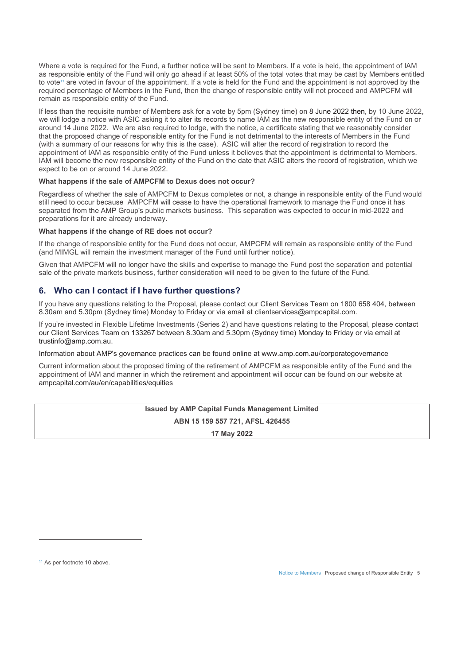Where a vote is required for the Fund, a further notice will be sent to Members. If a vote is held, the appointment of IAM as responsible entity of the Fund will only go ahead if at least 50% of the total votes that may be cast by Members entitled to vote<sup>11</sup> are voted in favour of the appointment. If a vote is held for the Fund and the appointment is not approved by the required percentage of Members in the Fund, then the change of responsible entity will not proceed and AMPCFM will remain as responsible entity of the Fund.

If less than the requisite number of Members ask for a vote by 5pm (Sydney time) on 8 June 2022 then, by 10 June 2022, we will lodge a notice with ASIC asking it to alter its records to name IAM as the new responsible entity of the Fund on or around 14 June 2022. We are also required to lodge, with the notice, a certificate stating that we reasonably consider that the proposed change of responsible entity for the Fund is not detrimental to the interests of Members in the Fund (with a summary of our reasons for why this is the case). ASIC will alter the record of registration to record the appointment of IAM as responsible entity of the Fund unless it believes that the appointment is detrimental to Members. IAM will become the new responsible entity of the Fund on the date that ASIC alters the record of registration, which we expect to be on or around 14 June 2022.

#### **What happens if the sale of AMPCFM to Dexus does not occur?**

Regardless of whether the sale of AMPCFM to Dexus completes or not, a change in responsible entity of the Fund would still need to occur because AMPCFM will cease to have the operational framework to manage the Fund once it has separated from the AMP Group's public markets business. This separation was expected to occur in mid-2022 and preparations for it are already underway.

### **What happens if the change of RE does not occur?**

If the change of responsible entity for the Fund does not occur, AMPCFM will remain as responsible entity of the Fund (and MIMGL will remain the investment manager of the Fund until further notice).

Given that AMPCFM will no longer have the skills and expertise to manage the Fund post the separation and potential sale of the private markets business, further consideration will need to be given to the future of the Fund.

### **6. Who can I contact if I have further questions?**

If you have any questions relating to the Proposal, please contact our Client Services Team on 1800 658 404, between 8.30am and 5.30pm (Sydney time) Monday to Friday or via email at clientservices@ampcapital.com.

If you're invested in Flexible Lifetime Investments (Series 2) and have questions relating to the Proposal, please contact our Client Services Team on 133267 between 8.30am and 5.30pm (Sydney time) Monday to Friday or via email at trustinfo@amp.com.au.

Information about AMP's governance practices can be found online at www.amp.com.au/corporategovernance

Current information about the proposed timing of the retirement of AMPCFM as responsible entity of the Fund and the appointment of IAM and manner in which the retirement and appointment will occur can be found on our website at ampcapital.com/au/en/capabilities/equities

# **Issued by AMP Capital Funds Management Limited ABN 15 159 557 721, AFSL 426455**

**17 May 2022** 

<sup>&</sup>lt;sup>11</sup> As per footnote 10 above.